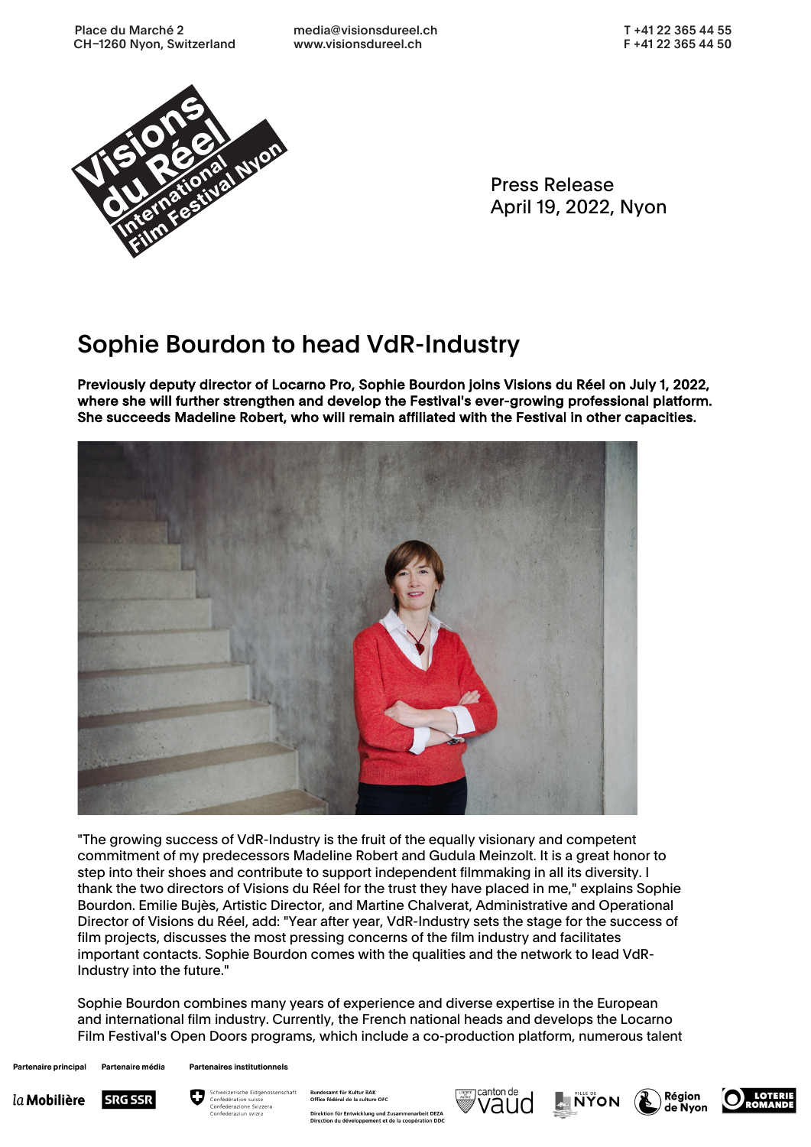Place du Marché 2 CH-1260 Nyon, Switzerland media@visionsdureel.ch www.visionsdureel.ch



Press Release April 19, 2022, Nyon

## Sophie Bourdon to head VdR-Industry

Previously deputy director of Locarno Pro, Sophie Bourdon joins Visions du Réel on July 1, 2022, where she will further strengthen and develop the Festival's ever-growing professional platform. She succeeds Madeline Robert, who will remain affiliated with the Festival in other capacities.



"The growing success of VdR-Industry is the fruit of the equally visionary and competent commitment of my predecessors Madeline Robert and Gudula Meinzolt. It is a great honor to step into their shoes and contribute to support independent filmmaking in all its diversity. I thank the two directors of Visions du Réel for the trust they have placed in me," explains Sophie Bourdon. Emilie Bujès, Artistic Director, and Martine Chalverat, Administrative and Operational Director of Visions du Réel, add: "Year after year, VdR-Industry sets the stage for the success of film projects, discusses the most pressing concerns of the film industry and facilitates important contacts. Sophie Bourdon comes with the qualities and the network to lead VdR-Industry into the future."

Sophie Bourdon combines many years of experience and diverse expertise in the European and international film industry. Currently, the French national heads and develops the Locarno Film Festival's Open Doors programs, which include a co-production platform, numerous talent

Partenaire principal Partenaire média Partenaires institutionnels





Office fédéral de la culture OFC Direktion für Entwicklung und Zusammenarbeit DEZA<br>Direction du développement et de la coopération DDC

amt für Kultur RAI





Région de Nyon